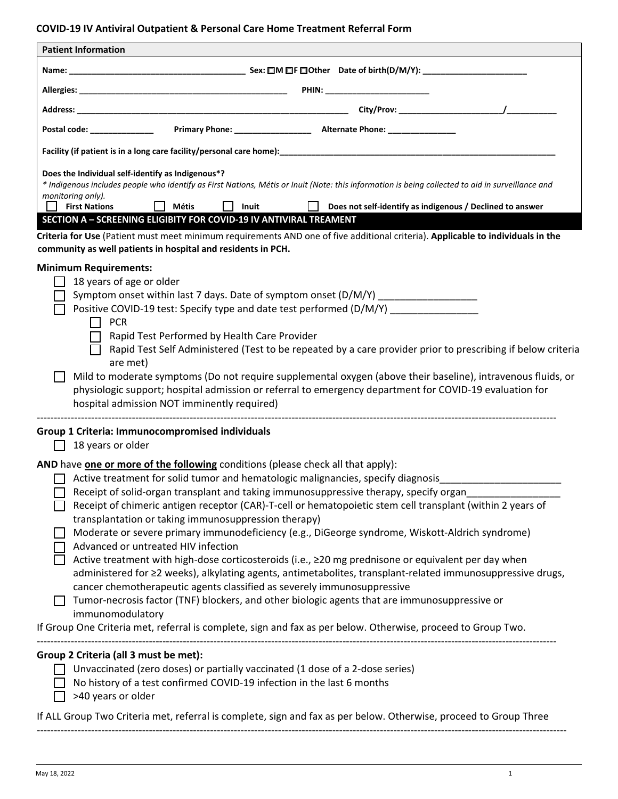## **COVID-19 IV Antiviral Outpatient & Personal Care Home Treatment Referral Form**

| Postal code: _______________<br>Does the Individual self-identify as Indigenous*?<br>* Indigenous includes people who identify as First Nations, Métis or Inuit (Note: this information is being collected to aid in surveillance and<br>monitoring only).<br><b>First Nations</b><br><b>Métis</b><br>Inuit<br>Does not self-identify as indigenous / Declined to answer<br>SECTION A - SCREENING ELIGIBITY FOR COVID-19 IV ANTIVIRAL TREAMENT<br>18 years of age or older<br>Symptom onset within last 7 days. Date of symptom onset (D/M/Y) ________________<br>Positive COVID-19 test: Specify type and date test performed (D/M/Y)<br><b>PCR</b><br>$\mathsf{L}$<br>Rapid Test Performed by Health Care Provider<br>Rapid Test Self Administered (Test to be repeated by a care provider prior to prescribing if below criteria<br>are met)<br>Mild to moderate symptoms (Do not require supplemental oxygen (above their baseline), intravenous fluids, or<br>physiologic support; hospital admission or referral to emergency department for COVID-19 evaluation for<br>hospital admission NOT imminently required)<br>18 years or older<br>AND have one or more of the following conditions (please check all that apply):<br>Active treatment for solid tumor and hematologic malignancies, specify diagnosis<br>Receipt of solid-organ transplant and taking immunosuppressive therapy, specify organ<br>Receipt of chimeric antigen receptor (CAR)-T-cell or hematopoietic stem cell transplant (within 2 years of<br>transplantation or taking immunosuppression therapy)<br>Moderate or severe primary immunodeficiency (e.g., DiGeorge syndrome, Wiskott-Aldrich syndrome)<br>Advanced or untreated HIV infection<br>Active treatment with high-dose corticosteroids (i.e., ≥20 mg prednisone or equivalent per day when<br>administered for ≥2 weeks), alkylating agents, antimetabolites, transplant-related immunosuppressive drugs,<br>cancer chemotherapeutic agents classified as severely immunosuppressive<br>Tumor-necrosis factor (TNF) blockers, and other biologic agents that are immunosuppressive or<br>immunomodulatory<br>Unvaccinated (zero doses) or partially vaccinated (1 dose of a 2-dose series)<br>No history of a test confirmed COVID-19 infection in the last 6 months<br>>40 years or older | <b>Patient Information</b>                                                                                                                                                                      |
|---------------------------------------------------------------------------------------------------------------------------------------------------------------------------------------------------------------------------------------------------------------------------------------------------------------------------------------------------------------------------------------------------------------------------------------------------------------------------------------------------------------------------------------------------------------------------------------------------------------------------------------------------------------------------------------------------------------------------------------------------------------------------------------------------------------------------------------------------------------------------------------------------------------------------------------------------------------------------------------------------------------------------------------------------------------------------------------------------------------------------------------------------------------------------------------------------------------------------------------------------------------------------------------------------------------------------------------------------------------------------------------------------------------------------------------------------------------------------------------------------------------------------------------------------------------------------------------------------------------------------------------------------------------------------------------------------------------------------------------------------------------------------------------------------------------------------------------------------------------------------------------------------------------------------------------------------------------------------------------------------------------------------------------------------------------------------------------------------------------------------------------------------------------------------------------------------------------------------------------------------------------------------------------------------------------------------------------|-------------------------------------------------------------------------------------------------------------------------------------------------------------------------------------------------|
|                                                                                                                                                                                                                                                                                                                                                                                                                                                                                                                                                                                                                                                                                                                                                                                                                                                                                                                                                                                                                                                                                                                                                                                                                                                                                                                                                                                                                                                                                                                                                                                                                                                                                                                                                                                                                                                                                                                                                                                                                                                                                                                                                                                                                                                                                                                                       |                                                                                                                                                                                                 |
|                                                                                                                                                                                                                                                                                                                                                                                                                                                                                                                                                                                                                                                                                                                                                                                                                                                                                                                                                                                                                                                                                                                                                                                                                                                                                                                                                                                                                                                                                                                                                                                                                                                                                                                                                                                                                                                                                                                                                                                                                                                                                                                                                                                                                                                                                                                                       |                                                                                                                                                                                                 |
|                                                                                                                                                                                                                                                                                                                                                                                                                                                                                                                                                                                                                                                                                                                                                                                                                                                                                                                                                                                                                                                                                                                                                                                                                                                                                                                                                                                                                                                                                                                                                                                                                                                                                                                                                                                                                                                                                                                                                                                                                                                                                                                                                                                                                                                                                                                                       |                                                                                                                                                                                                 |
|                                                                                                                                                                                                                                                                                                                                                                                                                                                                                                                                                                                                                                                                                                                                                                                                                                                                                                                                                                                                                                                                                                                                                                                                                                                                                                                                                                                                                                                                                                                                                                                                                                                                                                                                                                                                                                                                                                                                                                                                                                                                                                                                                                                                                                                                                                                                       |                                                                                                                                                                                                 |
|                                                                                                                                                                                                                                                                                                                                                                                                                                                                                                                                                                                                                                                                                                                                                                                                                                                                                                                                                                                                                                                                                                                                                                                                                                                                                                                                                                                                                                                                                                                                                                                                                                                                                                                                                                                                                                                                                                                                                                                                                                                                                                                                                                                                                                                                                                                                       |                                                                                                                                                                                                 |
|                                                                                                                                                                                                                                                                                                                                                                                                                                                                                                                                                                                                                                                                                                                                                                                                                                                                                                                                                                                                                                                                                                                                                                                                                                                                                                                                                                                                                                                                                                                                                                                                                                                                                                                                                                                                                                                                                                                                                                                                                                                                                                                                                                                                                                                                                                                                       | Criteria for Use (Patient must meet minimum requirements AND one of five additional criteria). Applicable to individuals in the<br>community as well patients in hospital and residents in PCH. |
|                                                                                                                                                                                                                                                                                                                                                                                                                                                                                                                                                                                                                                                                                                                                                                                                                                                                                                                                                                                                                                                                                                                                                                                                                                                                                                                                                                                                                                                                                                                                                                                                                                                                                                                                                                                                                                                                                                                                                                                                                                                                                                                                                                                                                                                                                                                                       | <b>Minimum Requirements:</b>                                                                                                                                                                    |
|                                                                                                                                                                                                                                                                                                                                                                                                                                                                                                                                                                                                                                                                                                                                                                                                                                                                                                                                                                                                                                                                                                                                                                                                                                                                                                                                                                                                                                                                                                                                                                                                                                                                                                                                                                                                                                                                                                                                                                                                                                                                                                                                                                                                                                                                                                                                       |                                                                                                                                                                                                 |
|                                                                                                                                                                                                                                                                                                                                                                                                                                                                                                                                                                                                                                                                                                                                                                                                                                                                                                                                                                                                                                                                                                                                                                                                                                                                                                                                                                                                                                                                                                                                                                                                                                                                                                                                                                                                                                                                                                                                                                                                                                                                                                                                                                                                                                                                                                                                       |                                                                                                                                                                                                 |
|                                                                                                                                                                                                                                                                                                                                                                                                                                                                                                                                                                                                                                                                                                                                                                                                                                                                                                                                                                                                                                                                                                                                                                                                                                                                                                                                                                                                                                                                                                                                                                                                                                                                                                                                                                                                                                                                                                                                                                                                                                                                                                                                                                                                                                                                                                                                       |                                                                                                                                                                                                 |
|                                                                                                                                                                                                                                                                                                                                                                                                                                                                                                                                                                                                                                                                                                                                                                                                                                                                                                                                                                                                                                                                                                                                                                                                                                                                                                                                                                                                                                                                                                                                                                                                                                                                                                                                                                                                                                                                                                                                                                                                                                                                                                                                                                                                                                                                                                                                       |                                                                                                                                                                                                 |
|                                                                                                                                                                                                                                                                                                                                                                                                                                                                                                                                                                                                                                                                                                                                                                                                                                                                                                                                                                                                                                                                                                                                                                                                                                                                                                                                                                                                                                                                                                                                                                                                                                                                                                                                                                                                                                                                                                                                                                                                                                                                                                                                                                                                                                                                                                                                       |                                                                                                                                                                                                 |
|                                                                                                                                                                                                                                                                                                                                                                                                                                                                                                                                                                                                                                                                                                                                                                                                                                                                                                                                                                                                                                                                                                                                                                                                                                                                                                                                                                                                                                                                                                                                                                                                                                                                                                                                                                                                                                                                                                                                                                                                                                                                                                                                                                                                                                                                                                                                       |                                                                                                                                                                                                 |
|                                                                                                                                                                                                                                                                                                                                                                                                                                                                                                                                                                                                                                                                                                                                                                                                                                                                                                                                                                                                                                                                                                                                                                                                                                                                                                                                                                                                                                                                                                                                                                                                                                                                                                                                                                                                                                                                                                                                                                                                                                                                                                                                                                                                                                                                                                                                       | Group 1 Criteria: Immunocompromised individuals                                                                                                                                                 |
|                                                                                                                                                                                                                                                                                                                                                                                                                                                                                                                                                                                                                                                                                                                                                                                                                                                                                                                                                                                                                                                                                                                                                                                                                                                                                                                                                                                                                                                                                                                                                                                                                                                                                                                                                                                                                                                                                                                                                                                                                                                                                                                                                                                                                                                                                                                                       |                                                                                                                                                                                                 |
|                                                                                                                                                                                                                                                                                                                                                                                                                                                                                                                                                                                                                                                                                                                                                                                                                                                                                                                                                                                                                                                                                                                                                                                                                                                                                                                                                                                                                                                                                                                                                                                                                                                                                                                                                                                                                                                                                                                                                                                                                                                                                                                                                                                                                                                                                                                                       |                                                                                                                                                                                                 |
|                                                                                                                                                                                                                                                                                                                                                                                                                                                                                                                                                                                                                                                                                                                                                                                                                                                                                                                                                                                                                                                                                                                                                                                                                                                                                                                                                                                                                                                                                                                                                                                                                                                                                                                                                                                                                                                                                                                                                                                                                                                                                                                                                                                                                                                                                                                                       |                                                                                                                                                                                                 |
|                                                                                                                                                                                                                                                                                                                                                                                                                                                                                                                                                                                                                                                                                                                                                                                                                                                                                                                                                                                                                                                                                                                                                                                                                                                                                                                                                                                                                                                                                                                                                                                                                                                                                                                                                                                                                                                                                                                                                                                                                                                                                                                                                                                                                                                                                                                                       |                                                                                                                                                                                                 |
|                                                                                                                                                                                                                                                                                                                                                                                                                                                                                                                                                                                                                                                                                                                                                                                                                                                                                                                                                                                                                                                                                                                                                                                                                                                                                                                                                                                                                                                                                                                                                                                                                                                                                                                                                                                                                                                                                                                                                                                                                                                                                                                                                                                                                                                                                                                                       |                                                                                                                                                                                                 |
|                                                                                                                                                                                                                                                                                                                                                                                                                                                                                                                                                                                                                                                                                                                                                                                                                                                                                                                                                                                                                                                                                                                                                                                                                                                                                                                                                                                                                                                                                                                                                                                                                                                                                                                                                                                                                                                                                                                                                                                                                                                                                                                                                                                                                                                                                                                                       |                                                                                                                                                                                                 |
|                                                                                                                                                                                                                                                                                                                                                                                                                                                                                                                                                                                                                                                                                                                                                                                                                                                                                                                                                                                                                                                                                                                                                                                                                                                                                                                                                                                                                                                                                                                                                                                                                                                                                                                                                                                                                                                                                                                                                                                                                                                                                                                                                                                                                                                                                                                                       | If Group One Criteria met, referral is complete, sign and fax as per below. Otherwise, proceed to Group Two.                                                                                    |
|                                                                                                                                                                                                                                                                                                                                                                                                                                                                                                                                                                                                                                                                                                                                                                                                                                                                                                                                                                                                                                                                                                                                                                                                                                                                                                                                                                                                                                                                                                                                                                                                                                                                                                                                                                                                                                                                                                                                                                                                                                                                                                                                                                                                                                                                                                                                       | Group 2 Criteria (all 3 must be met):<br>If ALL Group Two Criteria met, referral is complete, sign and fax as per below. Otherwise, proceed to Group Three                                      |

------------------------------------------------------------------------------------------------------------------------------------------------------------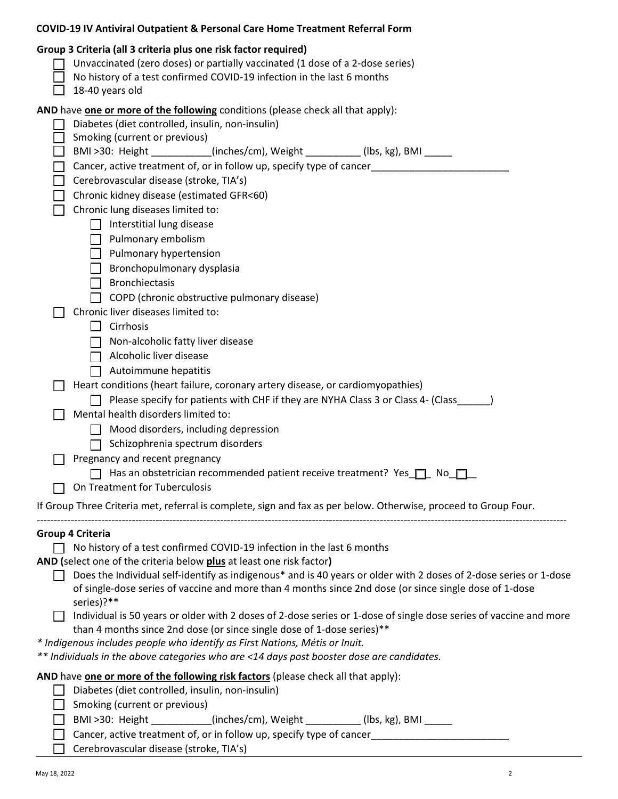| <b>COVID-19 IV Antiviral Outpatient &amp; Personal Care Home Treatment Referral Form</b>                                                                                                                                                      |
|-----------------------------------------------------------------------------------------------------------------------------------------------------------------------------------------------------------------------------------------------|
| Group 3 Criteria (all 3 criteria plus one risk factor required)<br>Unvaccinated (zero doses) or partially vaccinated (1 dose of a 2-dose series)<br>No history of a test confirmed COVID-19 infection in the last 6 months<br>18-40 years old |
| AND have one or more of the following conditions (please check all that apply):                                                                                                                                                               |
| Diabetes (diet controlled, insulin, non-insulin)                                                                                                                                                                                              |
| Smoking (current or previous)                                                                                                                                                                                                                 |
| BMI >30: Height _________(inches/cm), Weight _________(lbs, kg), BMI _____                                                                                                                                                                    |
| Cancer, active treatment of, or in follow up, specify type of cancer________________________________<br>$\mathbf{L}$                                                                                                                          |
| Cerebrovascular disease (stroke, TIA's)<br>П                                                                                                                                                                                                  |
| Chronic kidney disease (estimated GFR<60)<br>$\mathsf{L}$                                                                                                                                                                                     |
| Chronic lung diseases limited to:<br>$\Box$                                                                                                                                                                                                   |
| $\Box$ Interstitial lung disease                                                                                                                                                                                                              |
| $\Box$ Pulmonary embolism                                                                                                                                                                                                                     |
| $\Box$ Pulmonary hypertension                                                                                                                                                                                                                 |
| $\Box$ Bronchopulmonary dysplasia                                                                                                                                                                                                             |
| $\Box$ Bronchiectasis                                                                                                                                                                                                                         |
| $\Box$ COPD (chronic obstructive pulmonary disease)                                                                                                                                                                                           |
| Chronic liver diseases limited to:                                                                                                                                                                                                            |
| Cirrhosis                                                                                                                                                                                                                                     |
| Non-alcoholic fatty liver disease                                                                                                                                                                                                             |
| Alcoholic liver disease                                                                                                                                                                                                                       |
| Autoimmune hepatitis                                                                                                                                                                                                                          |
| Heart conditions (heart failure, coronary artery disease, or cardiomyopathies)                                                                                                                                                                |
| Please specify for patients with CHF if they are NYHA Class 3 or Class 4- (Class                                                                                                                                                              |
| Mental health disorders limited to:                                                                                                                                                                                                           |
| Mood disorders, including depression                                                                                                                                                                                                          |
| Schizophrenia spectrum disorders                                                                                                                                                                                                              |
| Pregnancy and recent pregnancy                                                                                                                                                                                                                |
| □ Has an obstetrician recommended patient receive treatment? Yes □ No                                                                                                                                                                         |
| On Treatment for Tuberculosis                                                                                                                                                                                                                 |
|                                                                                                                                                                                                                                               |
| If Group Three Criteria met, referral is complete, sign and fax as per below. Otherwise, proceed to Group Four.                                                                                                                               |
|                                                                                                                                                                                                                                               |
| Group 4 Criteria<br>No history of a test confirmed COVID-19 infection in the last 6 months<br>$\mathsf{L}$                                                                                                                                    |
| AND (select one of the criteria below plus at least one risk factor)                                                                                                                                                                          |
| Does the Individual self-identify as indigenous* and is 40 years or older with 2 doses of 2-dose series or 1-dose                                                                                                                             |
| of single-dose series of vaccine and more than 4 months since 2nd dose (or since single dose of 1-dose                                                                                                                                        |
| series)?**                                                                                                                                                                                                                                    |
| Individual is 50 years or older with 2 doses of 2-dose series or 1-dose of single dose series of vaccine and more                                                                                                                             |
| than 4 months since 2nd dose (or since single dose of 1-dose series)**                                                                                                                                                                        |
| * Indigenous includes people who identify as First Nations, Métis or Inuit.                                                                                                                                                                   |
| ** Individuals in the above categories who are <14 days post booster dose are candidates.                                                                                                                                                     |
| AND have one or more of the following risk factors (please check all that apply):                                                                                                                                                             |
| Diabetes (diet controlled, insulin, non-insulin)                                                                                                                                                                                              |
| Smoking (current or previous)                                                                                                                                                                                                                 |
| BMI >30: Height _________(inches/cm), Weight ________(lbs, kg), BMI _____                                                                                                                                                                     |
| Cancer, active treatment of, or in follow up, specify type of cancer                                                                                                                                                                          |
|                                                                                                                                                                                                                                               |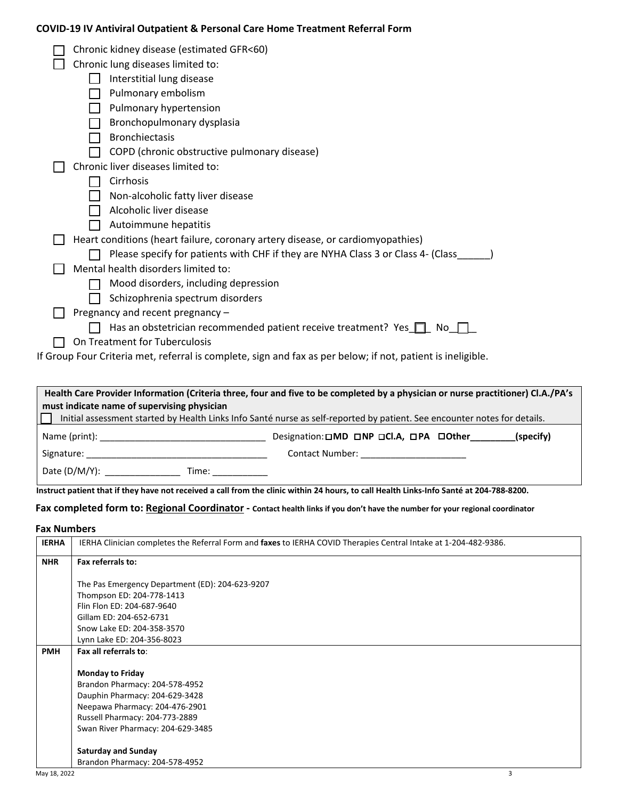## **COVID-19 IV Antiviral Outpatient & Personal Care Home Treatment Referral Form**

| Chronic kidney disease (estimated GFR<60)                                                                   |
|-------------------------------------------------------------------------------------------------------------|
| Chronic lung diseases limited to:                                                                           |
| Interstitial lung disease                                                                                   |
| Pulmonary embolism                                                                                          |
| Pulmonary hypertension                                                                                      |
| Bronchopulmonary dysplasia                                                                                  |
|                                                                                                             |
| <b>Bronchiectasis</b>                                                                                       |
| COPD (chronic obstructive pulmonary disease)                                                                |
| Chronic liver diseases limited to:                                                                          |
| Cirrhosis                                                                                                   |
| Non-alcoholic fatty liver disease                                                                           |
| Alcoholic liver disease                                                                                     |
| Autoimmune hepatitis                                                                                        |
| Heart conditions (heart failure, coronary artery disease, or cardiomyopathies)                              |
| Please specify for patients with CHF if they are NYHA Class 3 or Class 4- (Class                            |
| Mental health disorders limited to:                                                                         |
| Mood disorders, including depression                                                                        |
| Schizophrenia spectrum disorders                                                                            |
| Pregnancy and recent pregnancy -                                                                            |
| Has an obstetrician recommended patient receive treatment? Yes $\Box$<br>No.                                |
| On Treatment for Tuberculosis                                                                               |
| If Group Four Criteria met, referral is complete, sign and fax as per below; if not, patient is ineligible. |
|                                                                                                             |

| Health Care Provider Information (Criteria three, four and five to be completed by a physician or nurse practitioner) CLA./PA's                                                                                                |                                                      |  |  |
|--------------------------------------------------------------------------------------------------------------------------------------------------------------------------------------------------------------------------------|------------------------------------------------------|--|--|
| must indicate name of supervising physician                                                                                                                                                                                    |                                                      |  |  |
| Initial assessment started by Health Links Info Santé nurse as self-reported by patient. See encounter notes for details.                                                                                                      |                                                      |  |  |
| Name (print): the contract of the contract of the contract of the contract of the contract of the contract of the contract of the contract of the contract of the contract of the contract of the contract of the contract of  | Designation: OMD ONP OCI.A, OPA OOther_<br>(specify) |  |  |
| Signature: the contract of the contract of the contract of the contract of the contract of the contract of the contract of the contract of the contract of the contract of the contract of the contract of the contract of the | Contact Number: _______________________              |  |  |
| Date (D/M/Y):<br>Time: Time                                                                                                                                                                                                    |                                                      |  |  |

**Instruct patient that if they have not received a call from the clinic within 24 hours, to call Health Links-Info Santé at 204-788-8200.** 

#### **Fax completed form to: Regional Coordinator - Contact health links if you don't have the number for your regional coordinator**

### **Fax Numbers**

| <b>IERHA</b> | IERHA Clinician completes the Referral Form and faxes to IERHA COVID Therapies Central Intake at 1-204-482-9386. |
|--------------|------------------------------------------------------------------------------------------------------------------|
| <b>NHR</b>   | Fax referrals to:                                                                                                |
|              |                                                                                                                  |
|              | The Pas Emergency Department (ED): 204-623-9207                                                                  |
|              | Thompson ED: 204-778-1413                                                                                        |
|              | Flin Flon ED: 204-687-9640                                                                                       |
|              | Gillam ED: 204-652-6731                                                                                          |
|              | Snow Lake ED: 204-358-3570                                                                                       |
|              | Lynn Lake ED: 204-356-8023                                                                                       |
| <b>PMH</b>   | Fax all referrals to:                                                                                            |
|              |                                                                                                                  |
|              | <b>Monday to Friday</b>                                                                                          |
|              | Brandon Pharmacy: 204-578-4952                                                                                   |
|              | Dauphin Pharmacy: 204-629-3428                                                                                   |
|              | Neepawa Pharmacy: 204-476-2901                                                                                   |
|              | Russell Pharmacy: 204-773-2889                                                                                   |
|              | Swan River Pharmacy: 204-629-3485                                                                                |
|              | <b>Saturday and Sunday</b>                                                                                       |
|              | Brandon Pharmacy: 204-578-4952                                                                                   |